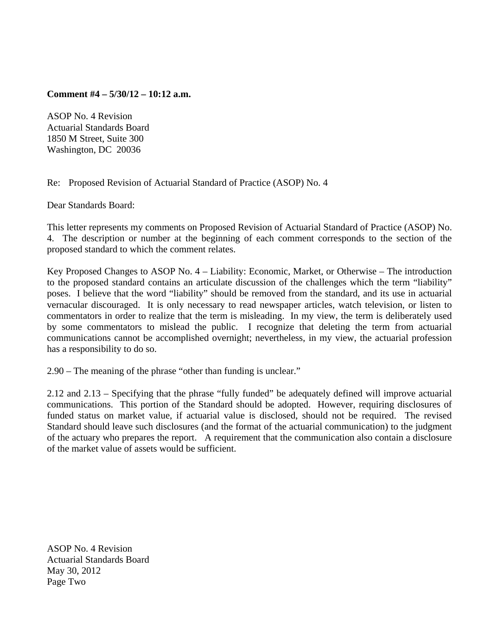**Comment #4 – 5/30/12 – 10:12 a.m.** 

ASOP No. 4 Revision Actuarial Standards Board 1850 M Street, Suite 300 Washington, DC 20036

Re: Proposed Revision of Actuarial Standard of Practice (ASOP) No. 4

Dear Standards Board:

This letter represents my comments on Proposed Revision of Actuarial Standard of Practice (ASOP) No. 4. The description or number at the beginning of each comment corresponds to the section of the proposed standard to which the comment relates.

Key Proposed Changes to ASOP No. 4 – Liability: Economic, Market, or Otherwise – The introduction to the proposed standard contains an articulate discussion of the challenges which the term "liability" poses. I believe that the word "liability" should be removed from the standard, and its use in actuarial vernacular discouraged. It is only necessary to read newspaper articles, watch television, or listen to commentators in order to realize that the term is misleading. In my view, the term is deliberately used by some commentators to mislead the public. I recognize that deleting the term from actuarial communications cannot be accomplished overnight; nevertheless, in my view, the actuarial profession has a responsibility to do so.

2.90 – The meaning of the phrase "other than funding is unclear."

2.12 and 2.13 – Specifying that the phrase "fully funded" be adequately defined will improve actuarial communications. This portion of the Standard should be adopted. However, requiring disclosures of funded status on market value, if actuarial value is disclosed, should not be required. The revised Standard should leave such disclosures (and the format of the actuarial communication) to the judgment of the actuary who prepares the report. A requirement that the communication also contain a disclosure of the market value of assets would be sufficient.

ASOP No. 4 Revision Actuarial Standards Board May 30, 2012 Page Two